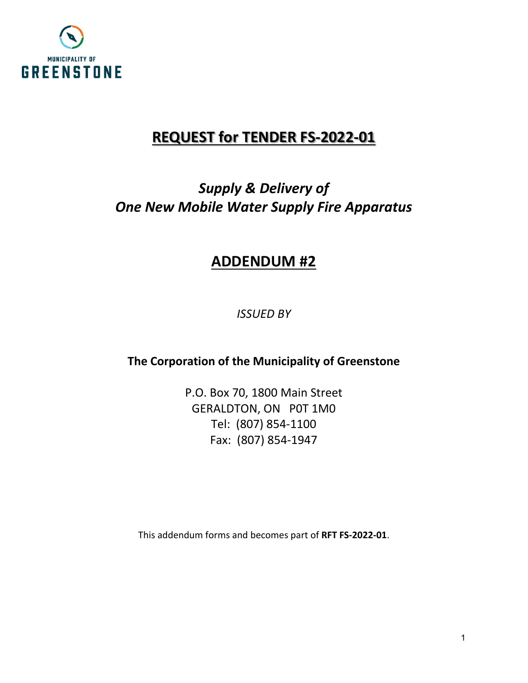

# **REQUEST for TENDER FS-2022-01**

# *Supply & Delivery of One New Mobile Water Supply Fire Apparatus*

# **ADDENDUM #2**

*ISSUED BY*

**The Corporation of the Municipality of Greenstone**

P.O. Box 70, 1800 Main Street GERALDTON, ON P0T 1M0 Tel: (807) 854-1100 Fax: (807) 854-1947

This addendum forms and becomes part of **RFT FS-2022-01**.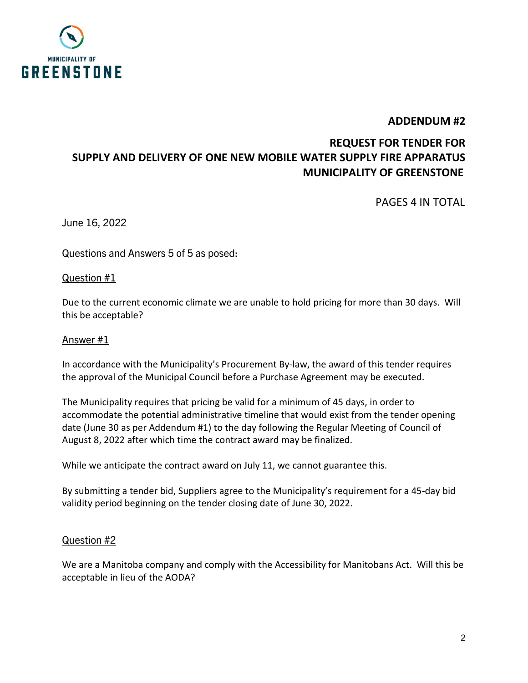

 **ADDENDUM #2**

# **REQUEST FOR TENDER FOR SUPPLY AND DELIVERY OF ONE NEW MOBILE WATER SUPPLY FIRE APPARATUS MUNICIPALITY OF GREENSTONE**

PAGES 4 IN TOTAL

June 16, 2022

Questions and Answers 5 of 5 as posed:

Question #1

Due to the current economic climate we are unable to hold pricing for more than 30 days. Will this be acceptable?

#### Answer #1

In accordance with the Municipality's Procurement By-law, the award of this tender requires the approval of the Municipal Council before a Purchase Agreement may be executed.

The Municipality requires that pricing be valid for a minimum of 45 days, in order to accommodate the potential administrative timeline that would exist from the tender opening date (June 30 as per Addendum #1) to the day following the Regular Meeting of Council of August 8, 2022 after which time the contract award may be finalized.

While we anticipate the contract award on July 11, we cannot guarantee this.

By submitting a tender bid, Suppliers agree to the Municipality's requirement for a 45-day bid validity period beginning on the tender closing date of June 30, 2022.

#### Question #2

We are a Manitoba company and comply with the Accessibility for Manitobans Act. Will this be acceptable in lieu of the AODA?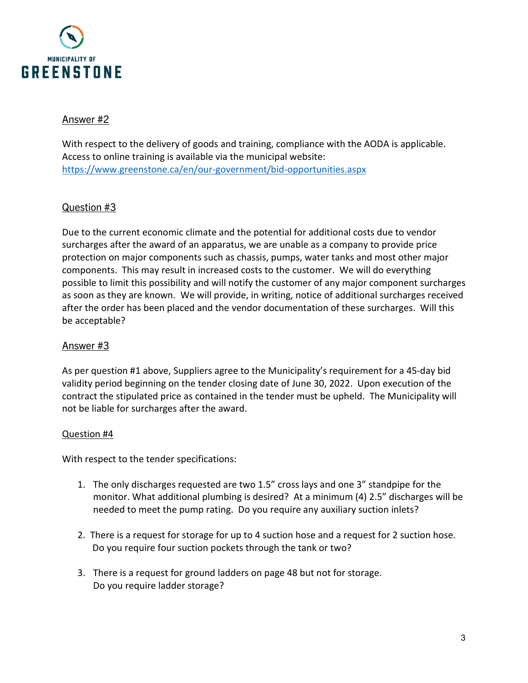

## Answer #2

With respect to the delivery of goods and training, compliance with the AODA is applicable. Access to online training is available via the municipal website: <https://www.greenstone.ca/en/our-government/bid-opportunities.aspx>

## Question #3

Due to the current economic climate and the potential for additional costs due to vendor surcharges after the award of an apparatus, we are unable as a company to provide price protection on major components such as chassis, pumps, water tanks and most other major components. This may result in increased costs to the customer. We will do everything possible to limit this possibility and will notify the customer of any major component surcharges as soon as they are known. We will provide, in writing, notice of additional surcharges received after the order has been placed and the vendor documentation of these surcharges. Will this be acceptable?

## Answer #3

As per question #1 above, Suppliers agree to the Municipality's requirement for a 45-day bid validity period beginning on the tender closing date of June 30, 2022. Upon execution of the contract the stipulated price as contained in the tender must be upheld. The Municipality will not be liable for surcharges after the award.

#### Question #4

With respect to the tender specifications:

- 1. The only discharges requested are two 1.5" cross lays and one 3" standpipe for the monitor. What additional plumbing is desired? At a minimum (4) 2.5" discharges will be needed to meet the pump rating. Do you require any auxiliary suction inlets?
- 2. There is a request for storage for up to 4 suction hose and a request for 2 suction hose. Do you require four suction pockets through the tank or two?
- 3. There is a request for ground ladders on page 48 but not for storage. Do you require ladder storage?